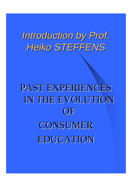# *Introduction by Prof. Introduction by Prof. Heiko STEFFENS STEFFENS*

PAST EXPERIENCES PAST EXPERIENCES IN THE EVOLUTION **OF CONSUMER EDUCATION**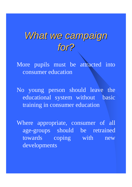# *What we campaign What we campaign for?*

More pupils must be attracted into consumer education

No young person should leave the educational system without basic training in consumer education

Where appropriate, consumer of all age-groups should be retrained towards coping with new developments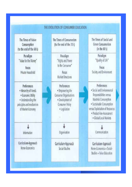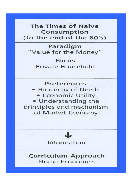# **The Times of Naive Consumption** (to the end of the  $60's$ )

# Paradigm "Value for the Money"

# **Focus** Private Household

**Preferences** • Hierarchy of Needs **• Economic Utility** · Understanding the principles and mechanism of Market-Economy



Curriculum-Approach Home-Economics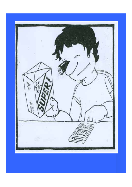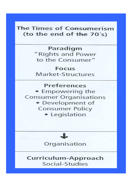## The Times of Consumerism (to the end of the 70's)

Paradigm "Rights and Power to the Consumer"

**Focus** Market-Structures

Preferences • Empowering the **Consumer Organisations** · Development of **Consumer Policy** • Legislation



### Organisation

Curriculum-Approach Social-Studies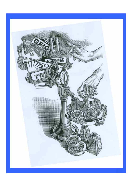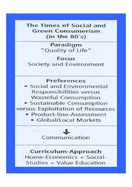### The Times of Social and **Green Consumerism**  $(in the 80's)$

### Paradigm "Quality of Life"

**Focus** Society and Environment

#### **Preferences**

• Social and Environmental Responsibilities versus **Wasteful Consumption** • Sustainable Consumption versus Exploitation of Recources · Product-line-Assessment · Global/Local Markets



Curriculum-Approach Home-Economics + Social-Studies + Value Education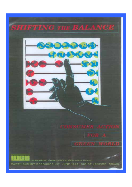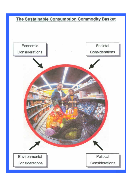#### The Sustainable Consumption Commodity Basket

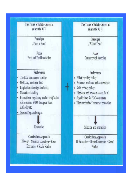The Times of Safety-Concerns (since the 90's)

> Paradigm "Farm to Fork"

Focus Food and Feed Production

#### Preferences

- The food chain under scrutiny
- GM food, functional food
- Emphasis on the right to choose
- Mandatory labelling
- International regulatory mechanism (Codex Alimentarius, WTO, European Food Authority etc.
- Seasonal/regional origins

# Evaluation

Curriculum Approach Biology + Nutrition Education + Home Economics + Social Studies

The Times of Safety-Concerns (since the 90's)

> Paradigm "Web of Trust"

Focus Consumers @ shopping

#### Preferences

- Effective safety policy
- Emphasis on choice and convenience
- Strict privacy policy
- High ease and low cost access for all
- @ guidelines for B2C consumers
- High standards of consumer protection

Selection and Interaction

Curriculum Approach IT-Education + Home Economics + Social Studies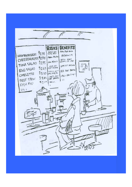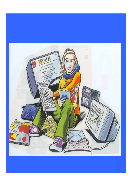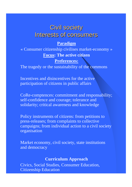# Civil society Interests of consumers

#### **Paradigm**

z « Consumer citizenship civilises market-economy » z **Focus: The active citizen** z **Preferences:**

The tragedy or the sustainability of the commons

Incentives and disincentives for the active participation of citizens in public affairs

CoRe-comptences: commitment and responsability; self-confidence and courage; tolerance and solidarity; critical awareness and knowledge

Policy instruments of citizens: from petitions to press-releases; from complaints to collective campaigns; from individual action to a civil society organisation

Market economy, civil society, state institutions and democracy

#### z **Curriculum Approach**

z Civics, Social Studies, Consumer Education, Citizenship Education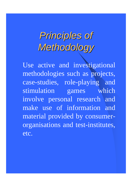*Principles of Principles of Methodology Methodology*

 Use active and investigational methodologies such as projects, case-studies, role-playing and stimulation games which involve personal research and make use of information and material provided by consumerorganisations and test-institutes, etc.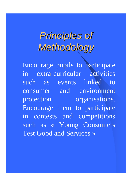*Principles of Principles of Methodology Methodology*

Encourage pupils to participate in extra-curricular activities such as events linked to consumer and environment protection organisations. Encourage them to participate in contests and competitions such as « Young Consumers Test Good and Services »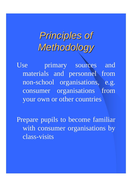*Principles of Principles of Methodology Methodology*

Use primary sources and materials and personnel from non-school organisations, e.g. consumer organisations from your own or other countries

Prepare pupils to become familiar with consumer organisations by class-visits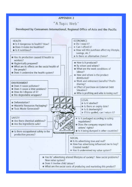#### **APPENDIX 2**

#### "A Topic Web"

Developed by Consumers International, Regional Office of Asia and the Pacific